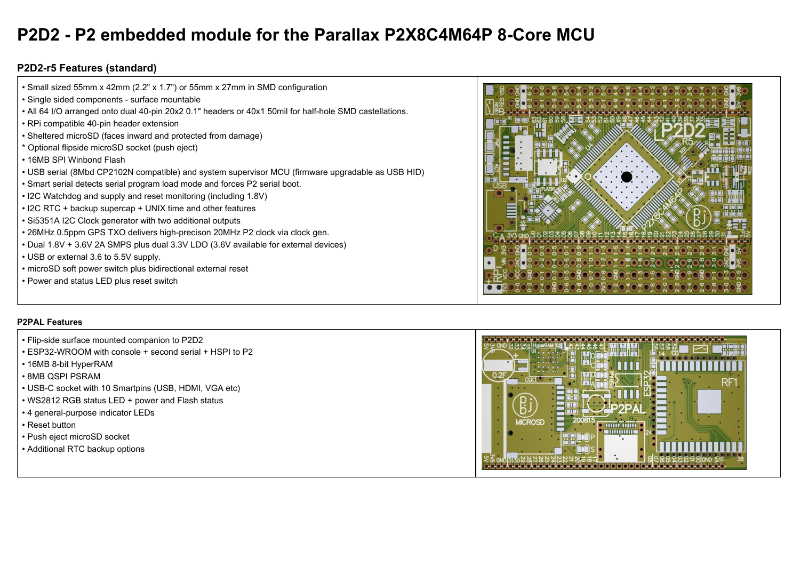## **P2D2 - P2 embedded module for the Parallax P2X8C4M64P 8-Core MCU**

## **P2D2-r5 Features (standard)**

| • Small sized 55mm x 42mm (2.2" x 1.7") or 55mm x 27mm in SMD configuration                             |  |
|---------------------------------------------------------------------------------------------------------|--|
| • Single sided components - surface mountable                                                           |  |
| . All 64 I/O arranged onto dual 40-pin 20x2 0.1" headers or 40x1 50mil for half-hole SMD castellations. |  |
| • RPi compatible 40-pin header extension                                                                |  |
| • Sheltered microSD (faces inward and protected from damage)                                            |  |
| * Optional flipside microSD socket (push eject)                                                         |  |
| • 16MB SPI Winbond Flash                                                                                |  |
| • USB serial (8Mbd CP2102N compatible) and system supervisor MCU (firmware upgradable as USB HID)       |  |
| . Smart serial detects serial program load mode and forces P2 serial boot.                              |  |
| • I2C Watchdog and supply and reset monitoring (including 1.8V)                                         |  |
| • I2C RTC + backup supercap + UNIX time and other features                                              |  |
| • Si5351A I2C Clock generator with two additional outputs                                               |  |
| • 26MHz 0.5ppm GPS TXO delivers high-precison 20MHz P2 clock via clock gen.                             |  |
| . Dual 1.8V + 3.6V 2A SMPS plus dual 3.3V LDO (3.6V available for external devices)                     |  |
| • USB or external 3.6 to 5.5V supply.                                                                   |  |
| • microSD soft power switch plus bidirectional external reset                                           |  |
| • Power and status LED plus reset switch                                                                |  |
|                                                                                                         |  |

## **P2PAL Features**

- Flip-side surface mounted companion to P2D2
- ESP32-WROOM with console + second serial + HSPI to P2
- 16MB 8-bit HyperRAM
- 8MB QSPI PSRAM
- USB-C socket with 10 Smartpins (USB, HDMI, VGA etc)
- WS2812 RGB status LED + power and Flash status
- 4 general-purpose indicator LEDs
- Reset button
- Push eject microSD socket
- Additional RTC backup options